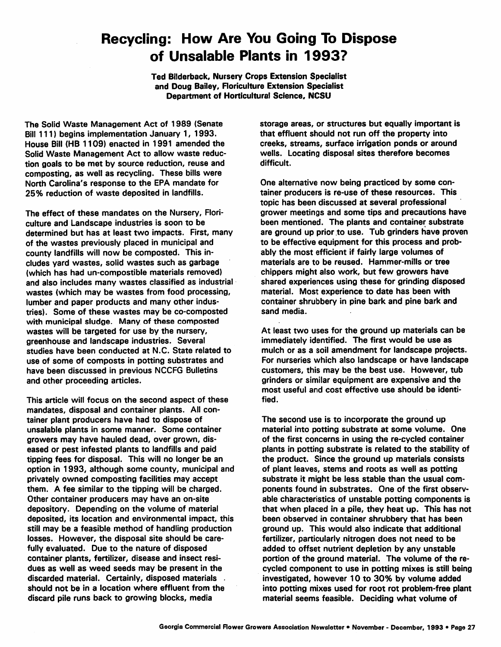## *Recycling: How Are You Going To Dispose of Unsalable Plants in 1993?*

*Ted* Bilderback, Nursery Crops Extension Specialist and Doug Bailey, Floriculture Extension Specialist Department of Horticultural Science, *NCSU*

The Solid Waste Management Act of 1989 (Senate Bill 111) begins implementation January 1, 1993. House Bill (HB 1109) enacted in 1991 amended the Solid Waste Management Act to allow waste reduc tion goals to be met by source reduction, reuse and composting, as well as recycling. These bills were North Carolina's response to the EPA mandate for 25% reduction of waste deposited in landfills.

The effect of these mandates on the Nursery, Flori culture and Landscape industries is soon to be determined but has at least two impacts. First, many of the wastes previously placed in municipal and county landfills will now be composted. This in cludes yard wastes, solid wastes such as garbage (which has had un-compostible materials removed) and also includes many wastes classified as industrial wastes (which may be wastes from food processing, lumber and paper products and many other indus tries). Some of these wastes may be co-composted with municipal sludge. Many of these composted wastes will be targeted for use by the nursery, greenhouse and landscape industries. Several studies have been conducted at N.C. State related to use of some df composts in potting substrates and have been discussed in previous NCCFG Bulletins and other proceeding articles.

This article will focus on the second aspect of these mandates, disposal and container plants. All con tainer plant producers have had to dispose of unsalable plants in some manner. Some container growers may have hauled dead, over grown, dis eased or pest infested plants to landfills and paid tipping fees for disposal. This will no longer be an option in 1993, although some county, municipal and privately owned composting facilities may accept them. A fee similar to the tipping will be charged. Other container producers may have an on-site depository. Depending on the volume of material deposited, its location and environmental impact, this still may be a feasible method of handling production losses. However, the disposal site should be care fully evaluated. Due to the nature of disposed container plants, fertilizer, disease and insect resi dues as well as weed seeds may be present in the discarded material. Certainly, disposed materials . should not be in a location where effluent from the discard pile runs back to growing blocks, media

storage areas, or structures but equally important is that effluent should not run off the property into creeks, streams, surface irrigation ponds or around wells. Locating disposal sites therefore becomes difficult.

One alternative now being practiced by some con tainer producers is re-use of these resources. This topic has been discussed at several professional grower meetings and some tips and precautions have been mentioned. The plants and container substrate are ground up prior to use. Tub grinders have proven to be effective equipment for this process and prob ably the most efficient if fairly large volumes of materials are to be reused. Hammer-mills or tree chippers might also work, but few growers have shared experiences using these for grinding disposed material. Most experience to date has been with container shrubbery in pine bark and pine bark and sand media.

At least two uses for the ground up materials can be immediately identified. The first would be use as mulch or as a soil amendment for landscape projects. For nurseries which also landscape or have landscape customers, this may be the best use. However, tub grinders or similar equipment are expensive and the most useful and cost effective use should be identi fied.

The second use is to incorporate the ground up material into potting substrate at some volume. One of the first concerns in using the re-cycled container plants in potting substrate is related to the stability of the product. Since the ground up materials consists of plant leaves, stems and roots as well as potting substrate it might be less stable than the usual com ponents found in substrates. One of the first observ able characteristics of unstable potting components is that when placed in a pile, they heat up. This has not been observed in container shrubbery that has been ground up. This would also indicate that additional fertilizer, particularly nitrogen does not need to be added to offset nutrient depletion by any unstable portion of the ground material. The volume of the re cycled component to use in potting mixes is still being investigated, however 10 to 30% by volume added into potting mixes used for root rot problem-free plant material seems feasible. Deciding what volume of